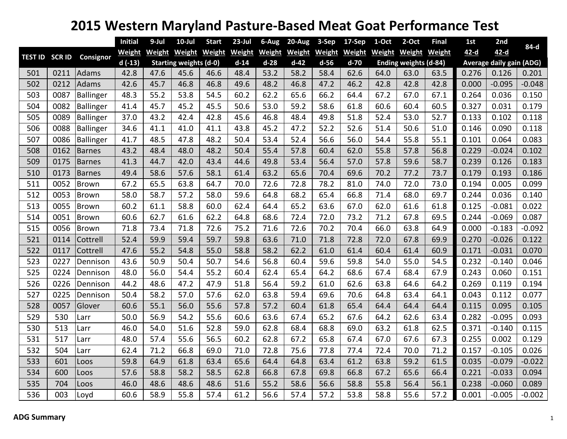## **2015 Western Maryland Pasture‐Based Meat Goat Performance Test**

|     |      |                          | <b>Initial</b> | 9-Jul         | $10$ -Jul                     | <b>Start</b>  | $23$ -Jul     | 6-Aug         | 20-Aug        | 3-Sep         | 17-Sep        | 1-Oct         | $2-Oct$                      | <b>Final</b>  | 1st    | 2nd                             | 84-d     |
|-----|------|--------------------------|----------------|---------------|-------------------------------|---------------|---------------|---------------|---------------|---------------|---------------|---------------|------------------------------|---------------|--------|---------------------------------|----------|
|     |      | TEST ID SCR ID Consignor | <b>Weight</b>  | <b>Weight</b> | <b>Weight</b>                 | <b>Weight</b> | <b>Weight</b> | <b>Weight</b> | <b>Weight</b> | <b>Weight</b> | <b>Weight</b> | <b>Weight</b> | <b>Weight</b>                | <b>Weight</b> | $42-d$ | $42-d$                          |          |
|     |      |                          | $d(-13)$       |               | <b>Starting weights (d-0)</b> |               | $d-14$        | $d-28$        | $d-42$        | $d-56$        | $d-70$        |               | <b>Ending weights (d-84)</b> |               |        | <b>Average daily gain (ADG)</b> |          |
| 501 | 0211 | Adams                    | 42.8           | 47.6          | 45.6                          | 46.6          | 48.4          | 53.2          | 58.2          | 58.4          | 62.6          | 64.0          | 63.0                         | 63.5          | 0.276  | 0.126                           | 0.201    |
| 502 | 0212 | Adams                    | 42.6           | 45.7          | 46.8                          | 46.8          | 49.6          | 48.2          | 46.8          | 47.2          | 46.2          | 42.8          | 42.8                         | 42.8          | 0.000  | $-0.095$                        | $-0.048$ |
| 503 | 0087 | Ballinger                | 48.3           | 55.2          | 53.8                          | 54.5          | 60.2          | 62.2          | 65.6          | 66.2          | 64.4          | 67.2          | 67.0                         | 67.1          | 0.264  | 0.036                           | 0.150    |
| 504 | 0082 | Ballinger                | 41.4           | 45.7          | 45.2                          | 45.5          | 50.6          | 53.0          | 59.2          | 58.6          | 61.8          | 60.6          | 60.4                         | 60.5          | 0.327  | 0.031                           | 0.179    |
| 505 | 0089 | Ballinger                | 37.0           | 43.2          | 42.4                          | 42.8          | 45.6          | 46.8          | 48.4          | 49.8          | 51.8          | 52.4          | 53.0                         | 52.7          | 0.133  | 0.102                           | 0.118    |
| 506 | 0088 | Ballinger                | 34.6           | 41.1          | 41.0                          | 41.1          | 43.8          | 45.2          | 47.2          | 52.2          | 52.6          | 51.4          | 50.6                         | 51.0          | 0.146  | 0.090                           | 0.118    |
| 507 | 0086 | Ballinger                | 41.7           | 48.5          | 47.8                          | 48.2          | 50.4          | 53.4          | 52.4          | 56.6          | 56.0          | 54.4          | 55.8                         | 55.1          | 0.101  | 0.064                           | 0.083    |
| 508 | 0162 | <b>Barnes</b>            | 43.2           | 48.4          | 48.0                          | 48.2          | 50.4          | 55.4          | 57.8          | 60.4          | 62.0          | 55.8          | 57.8                         | 56.8          | 0.229  | $-0.024$                        | 0.102    |
| 509 | 0175 | <b>Barnes</b>            | 41.3           | 44.7          | 42.0                          | 43.4          | 44.6          | 49.8          | 53.4          | 56.4          | 57.0          | 57.8          | 59.6                         | 58.7          | 0.239  | 0.126                           | 0.183    |
| 510 | 0173 | <b>Barnes</b>            | 49.4           | 58.6          | 57.6                          | 58.1          | 61.4          | 63.2          | 65.6          | 70.4          | 69.6          | 70.2          | 77.2                         | 73.7          | 0.179  | 0.193                           | 0.186    |
| 511 | 0052 | <b>Brown</b>             | 67.2           | 65.5          | 63.8                          | 64.7          | 70.0          | 72.6          | 72.8          | 78.2          | 81.0          | 74.0          | 72.0                         | 73.0          | 0.194  | 0.005                           | 0.099    |
| 512 | 0053 | Brown                    | 58.0           | 58.7          | 57.2                          | 58.0          | 59.6          | 64.8          | 68.2          | 65.4          | 66.8          | 71.4          | 68.0                         | 69.7          | 0.244  | 0.036                           | 0.140    |
| 513 | 0055 | <b>Brown</b>             | 60.2           | 61.1          | 58.8                          | 60.0          | 62.4          | 64.4          | 65.2          | 63.6          | 67.0          | 62.0          | 61.6                         | 61.8          | 0.125  | $-0.081$                        | 0.022    |
| 514 | 0051 | Brown                    | 60.6           | 62.7          | 61.6                          | 62.2          | 64.8          | 68.6          | 72.4          | 72.0          | 73.2          | 71.2          | 67.8                         | 69.5          | 0.244  | $-0.069$                        | 0.087    |
| 515 | 0056 | Brown                    | 71.8           | 73.4          | 71.8                          | 72.6          | 75.2          | 71.6          | 72.6          | 70.2          | 70.4          | 66.0          | 63.8                         | 64.9          | 0.000  | $-0.183$                        | $-0.092$ |
| 521 | 0114 | Cottrell                 | 52.4           | 59.9          | 59.4                          | 59.7          | 59.8          | 63.6          | 71.0          | 71.8          | 72.8          | 72.0          | 67.8                         | 69.9          | 0.270  | $-0.026$                        | 0.122    |
| 522 | 0117 | Cottrell                 | 47.6           | 55.2          | 54.8                          | 55.0          | 58.8          | 58.2          | 62.2          | 61.0          | 61.4          | 60.4          | 61.4                         | 60.9          | 0.171  | $-0.031$                        | 0.070    |
| 523 | 0227 | Dennison                 | 43.6           | 50.9          | 50.4                          | 50.7          | 54.6          | 56.8          | 60.4          | 59.6          | 59.8          | 54.0          | 55.0                         | 54.5          | 0.232  | $-0.140$                        | 0.046    |
| 525 | 0224 | Dennison                 | 48.0           | 56.0          | 54.4                          | 55.2          | 60.4          | 62.4          | 65.4          | 64.2          | 68.6          | 67.4          | 68.4                         | 67.9          | 0.243  | 0.060                           | 0.151    |
| 526 | 0226 | Dennison                 | 44.2           | 48.6          | 47.2                          | 47.9          | 51.8          | 56.4          | 59.2          | 61.0          | 62.6          | 63.8          | 64.6                         | 64.2          | 0.269  | 0.119                           | 0.194    |
| 527 | 0225 | Dennison                 | 50.4           | 58.2          | 57.0                          | 57.6          | 62.0          | 63.8          | 59.4          | 69.6          | 70.6          | 64.8          | 63.4                         | 64.1          | 0.043  | 0.112                           | 0.077    |
| 528 | 0057 | Glover                   | 60.6           | 55.1          | 56.0                          | 55.6          | 57.8          | 57.2          | 60.4          | 61.8          | 65.4          | 64.4          | 64.4                         | 64.4          | 0.115  | 0.095                           | 0.105    |
| 529 | 530  | Larr                     | 50.0           | 56.9          | 54.2                          | 55.6          | 60.6          | 63.6          | 67.4          | 65.2          | 67.6          | 64.2          | 62.6                         | 63.4          | 0.282  | $-0.095$                        | 0.093    |
| 530 | 513  | Larr                     | 46.0           | 54.0          | 51.6                          | 52.8          | 59.0          | 62.8          | 68.4          | 68.8          | 69.0          | 63.2          | 61.8                         | 62.5          | 0.371  | $-0.140$                        | 0.115    |
| 531 | 517  | Larr                     | 48.0           | 57.4          | 55.6                          | 56.5          | 60.2          | 62.8          | 67.2          | 65.8          | 67.4          | 67.0          | 67.6                         | 67.3          | 0.255  | 0.002                           | 0.129    |
| 532 | 504  | Larr                     | 62.4           | 71.2          | 66.8                          | 69.0          | 71.0          | 72.8          | 75.6          | 77.8          | 77.4          | 72.4          | 70.0                         | 71.2          | 0.157  | $-0.105$                        | 0.026    |
| 533 | 601  | Loos                     | 59.8           | 64.9          | 61.8                          | 63.4          | 65.6          | 64.4          | 64.8          | 63.4          | 61.2          | 63.8          | 59.2                         | 61.5          | 0.035  | $-0.079$                        | $-0.022$ |
| 534 | 600  | Loos                     | 57.6           | 58.8          | 58.2                          | 58.5          | 62.8          | 66.8          | 67.8          | 69.8          | 66.8          | 67.2          | 65.6                         | 66.4          | 0.221  | $-0.033$                        | 0.094    |
| 535 | 704  | Loos                     | 46.0           | 48.6          | 48.6                          | 48.6          | 51.6          | 55.2          | 58.6          | 56.6          | 58.8          | 55.8          | 56.4                         | 56.1          | 0.238  | $-0.060$                        | 0.089    |
| 536 | 003  | Loyd                     | 60.6           | 58.9          | 55.8                          | 57.4          | 61.2          | 56.6          | 57.4          | 57.2          | 53.8          | 58.8          | 55.6                         | 57.2          | 0.001  | $-0.005$                        | $-0.002$ |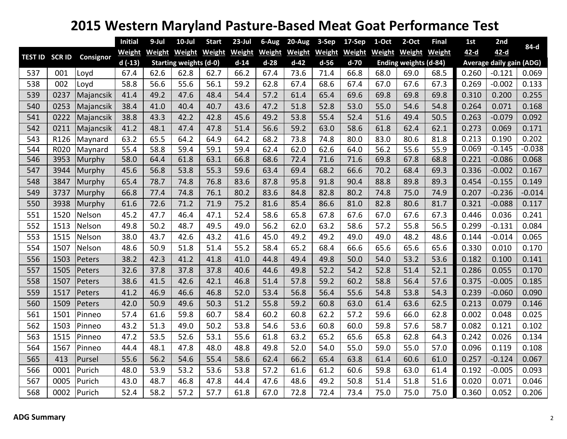## **Western Maryland Pasture‐Based Meat Goat Performance Test**

|     |      |                          | <b>Initial</b> | 9-Jul                         | $10$ -Jul     | <b>Start</b>  | $23$ -Jul                            | 6-Aug  | 20-Aug        | 3-Sep         | 17-Sep        | 1-Oct  | 2-Oct                        | <b>Final</b>  | 1st                             | 2nd      | 84-d     |  |
|-----|------|--------------------------|----------------|-------------------------------|---------------|---------------|--------------------------------------|--------|---------------|---------------|---------------|--------|------------------------------|---------------|---------------------------------|----------|----------|--|
|     |      | TEST ID SCR ID Consignor | <b>Weight</b>  | Weight                        | <b>Weight</b> | <b>Weight</b> | Weight                               | Weight | <b>Weight</b> | <b>Weight</b> | <b>Weight</b> | Weight | <b>Weight</b>                | <b>Weight</b> | $42-d$                          | $42-d$   |          |  |
|     |      |                          | $d(-13)$       | <b>Starting weights (d-0)</b> |               |               | $d-14$<br>$d-28$<br>$d-42$<br>$d-56$ |        |               |               | $d-70$        |        | <b>Ending weights (d-84)</b> |               | <b>Average daily gain (ADG)</b> |          |          |  |
| 537 | 001  | Loyd                     | 67.4           | 62.6                          | 62.8          | 62.7          | 66.2                                 | 67.4   | 73.6          | 71.4          | 66.8          | 68.0   | 69.0                         | 68.5          | 0.260                           | $-0.121$ | 0.069    |  |
| 538 | 002  | Loyd                     | 58.8           | 56.6                          | 55.6          | 56.1          | 59.2                                 | 62.8   | 67.4          | 68.6          | 67.4          | 67.0   | 67.6                         | 67.3          | 0.269                           | $-0.002$ | 0.133    |  |
| 539 | 0237 | Majancsik                | 41.4           | 49.2                          | 47.6          | 48.4          | 54.4                                 | 57.2   | 61.4          | 65.4          | 69.6          | 69.8   | 69.8                         | 69.8          | 0.310                           | 0.200    | 0.255    |  |
| 540 | 0253 | Majancsik                | 38.4           | 41.0                          | 40.4          | 40.7          | 43.6                                 | 47.2   | 51.8          | 52.8          | 53.0          | 55.0   | 54.6                         | 54.8          | 0.264                           | 0.071    | 0.168    |  |
| 541 | 0222 | Majancsik                | 38.8           | 43.3                          | 42.2          | 42.8          | 45.6                                 | 49.2   | 53.8          | 55.4          | 52.4          | 51.6   | 49.4                         | 50.5          | 0.263                           | $-0.079$ | 0.092    |  |
| 542 | 0211 | Majancsik                | 41.2           | 48.1                          | 47.4          | 47.8          | 51.4                                 | 56.6   | 59.2          | 63.0          | 58.6          | 61.8   | 62.4                         | 62.1          | 0.273                           | 0.069    | 0.171    |  |
| 543 | R126 | Maynard                  | 63.2           | 65.5                          | 64.2          | 64.9          | 64.2                                 | 68.2   | 73.8          | 74.8          | 80.0          | 83.0   | 80.6                         | 81.8          | 0.213                           | 0.190    | 0.202    |  |
| 544 | R020 | Maynard                  | 55.4           | 58.8                          | 59.4          | 59.1          | 59.4                                 | 62.4   | 62.0          | 62.6          | 64.0          | 56.2   | 55.6                         | 55.9          | 0.069                           | $-0.145$ | $-0.038$ |  |
| 546 | 3953 | Murphy                   | 58.0           | 64.4                          | 61.8          | 63.1          | 66.8                                 | 68.6   | 72.4          | 71.6          | 71.6          | 69.8   | 67.8                         | 68.8          | 0.221                           | $-0.086$ | 0.068    |  |
| 547 | 3944 | Murphy                   | 45.6           | 56.8                          | 53.8          | 55.3          | 59.6                                 | 63.4   | 69.4          | 68.2          | 66.6          | 70.2   | 68.4                         | 69.3          | 0.336                           | $-0.002$ | 0.167    |  |
| 548 | 3847 | Murphy                   | 65.4           | 78.7                          | 74.8          | 76.8          | 83.6                                 | 87.8   | 95.8          | 91.8          | 90.4          | 88.8   | 89.8                         | 89.3          | 0.454                           | $-0.155$ | 0.149    |  |
| 549 | 3737 | Murphy                   | 66.8           | 77.4                          | 74.8          | 76.1          | 80.2                                 | 83.6   | 84.8          | 82.8          | 80.2          | 74.8   | 75.0                         | 74.9          | 0.207                           | $-0.236$ | $-0.014$ |  |
| 550 | 3938 | Murphy                   | 61.6           | 72.6                          | 71.2          | 71.9          | 75.2                                 | 81.6   | 85.4          | 86.6          | 81.0          | 82.8   | 80.6                         | 81.7          | 0.321                           | $-0.088$ | 0.117    |  |
| 551 | 1520 | Nelson                   | 45.2           | 47.7                          | 46.4          | 47.1          | 52.4                                 | 58.6   | 65.8          | 67.8          | 67.6          | 67.0   | 67.6                         | 67.3          | 0.446                           | 0.036    | 0.241    |  |
| 552 | 1513 | Nelson                   | 49.8           | 50.2                          | 48.7          | 49.5          | 49.0                                 | 56.2   | 62.0          | 63.2          | 58.6          | 57.2   | 55.8                         | 56.5          | 0.299                           | $-0.131$ | 0.084    |  |
| 553 | 1515 | Nelson                   | 38.0           | 43.7                          | 42.6          | 43.2          | 41.6                                 | 45.0   | 49.2          | 49.2          | 49.0          | 49.0   | 48.2                         | 48.6          | 0.144                           | $-0.014$ | 0.065    |  |
| 554 | 1507 | Nelson                   | 48.6           | 50.9                          | 51.8          | 51.4          | 55.2                                 | 58.4   | 65.2          | 68.4          | 66.6          | 65.6   | 65.6                         | 65.6          | 0.330                           | 0.010    | 0.170    |  |
| 556 | 1503 | Peters                   | 38.2           | 42.3                          | 41.2          | 41.8          | 41.0                                 | 44.8   | 49.4          | 49.8          | 50.0          | 54.0   | 53.2                         | 53.6          | 0.182                           | 0.100    | 0.141    |  |
| 557 | 1505 | Peters                   | 32.6           | 37.8                          | 37.8          | 37.8          | 40.6                                 | 44.6   | 49.8          | 52.2          | 54.2          | 52.8   | 51.4                         | 52.1          | 0.286                           | 0.055    | 0.170    |  |
| 558 | 1507 | Peters                   | 38.6           | 41.5                          | 42.6          | 42.1          | 46.8                                 | 51.4   | 57.8          | 59.2          | 60.2          | 58.8   | 56.4                         | 57.6          | 0.375                           | $-0.005$ | 0.185    |  |
| 559 | 1517 | Peters                   | 41.2           | 46.9                          | 46.6          | 46.8          | 52.0                                 | 53.4   | 56.8          | 56.4          | 55.6          | 54.8   | 53.8                         | 54.3          | 0.239                           | $-0.060$ | 0.090    |  |
| 560 | 1509 | Peters                   | 42.0           | 50.9                          | 49.6          | 50.3          | 51.2                                 | 55.8   | 59.2          | 60.8          | 63.0          | 61.4   | 63.6                         | 62.5          | 0.213                           | 0.079    | 0.146    |  |
| 561 | 1501 | Pinneo                   | 57.4           | 61.6                          | 59.8          | 60.7          | 58.4                                 | 60.2   | 60.8          | 62.2          | 57.2          | 59.6   | 66.0                         | 62.8          | 0.002                           | 0.048    | 0.025    |  |
| 562 | 1503 | Pinneo                   | 43.2           | 51.3                          | 49.0          | 50.2          | 53.8                                 | 54.6   | 53.6          | 60.8          | 60.0          | 59.8   | 57.6                         | 58.7          | 0.082                           | 0.121    | 0.102    |  |
| 563 | 1515 | Pinneo                   | 47.2           | 53.5                          | 52.6          | 53.1          | 55.6                                 | 61.8   | 63.2          | 65.2          | 65.6          | 65.8   | 62.8                         | 64.3          | 0.242                           | 0.026    | 0.134    |  |
| 564 | 1567 | Pinneo                   | 44.4           | 48.1                          | 47.8          | 48.0          | 48.8                                 | 49.8   | 52.0          | 54.0          | 55.0          | 59.0   | 55.0                         | 57.0          | 0.096                           | 0.119    | 0.108    |  |
| 565 | 413  | Pursel                   | 55.6           | 56.2                          | 54.6          | 55.4          | 58.6                                 | 62.4   | 66.2          | 65.4          | 63.8          | 61.4   | 60.6                         | 61.0          | 0.257                           | $-0.124$ | 0.067    |  |
| 566 | 0001 | Purich                   | 48.0           | 53.9                          | 53.2          | 53.6          | 53.8                                 | 57.2   | 61.6          | 61.2          | 60.6          | 59.8   | 63.0                         | 61.4          | 0.192                           | $-0.005$ | 0.093    |  |
| 567 | 0005 | Purich                   | 43.0           | 48.7                          | 46.8          | 47.8          | 44.4                                 | 47.6   | 48.6          | 49.2          | 50.8          | 51.4   | 51.8                         | 51.6          | 0.020                           | 0.071    | 0.046    |  |
| 568 | 0002 | Purich                   | 52.4           | 58.2                          | 57.2          | 57.7          | 61.8                                 | 67.0   | 72.8          | 72.4          | 73.4          | 75.0   | 75.0                         | 75.0          | 0.360                           | 0.052    | 0.206    |  |